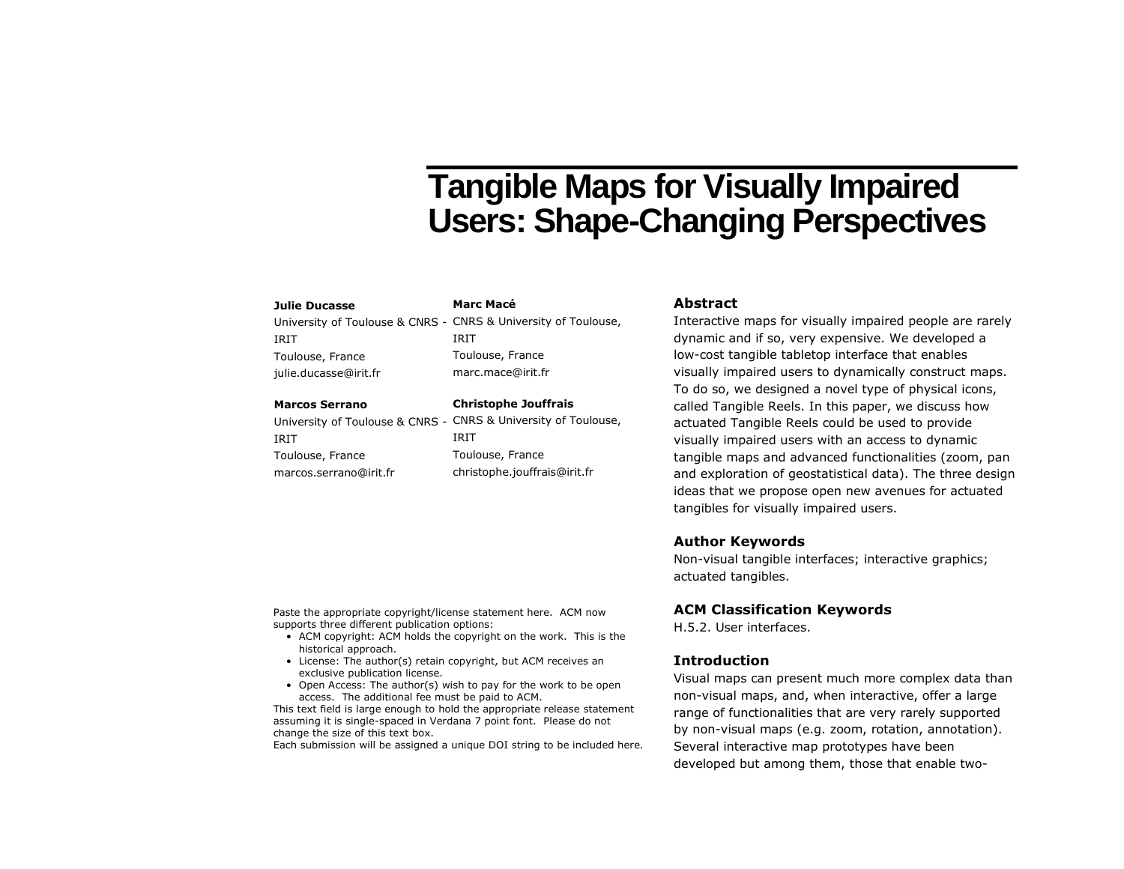# **Tangible Maps for Visually Impaired Users: Shape-Changing Perspectives**

#### **Julie Ducasse**

# **Marc Macé**

IRIT

University of Toulouse & CNRS - CNRS & University of Toulouse, IRIT Toulouse, France julie.ducasse@irit.fr

#### **Marcos Serrano**

IRIT Toulouse, France marcos.serrano@irit.fr

University of Toulouse & CNRS - CNRS & University of Toulouse, Toulouse, France marc.mace@irit.fr **Christophe Jouffrais**

IRIT Toulouse, France christophe.jouffrais@irit.fr

# **Abstract**

Interactive maps for visually impaired people are rarely dynamic and if so, very expensive. We developed a low-cost tangible tabletop interface that enables visually impaired users to dynamically construct maps. To do so, we designed a novel type of physical icons, called Tangible Reels. In this paper, we discuss how actuated Tangible Reels could be used to provide visually impaired users with an access to dynamic tangible maps and advanced functionalities (zoom, pan and exploration of geostatistical data). The three design ideas that we propose open new avenues for actuated tangibles for visually impaired users.

# **Author Keywords**

Non-visual tangible interfaces; interactive graphics; actuated tangibles.

#### **ACM Classification Keywords**

H.5.2. User interfaces.

#### **Introduction**

Visual maps can present much more complex data than non-visual maps, and, when interactive, offer a large range of functionalities that are very rarely supported by non-visual maps (e.g. zoom, rotation, annotation). Several interactive map prototypes have been developed but among them, those that enable two-

Paste the appropriate copyright/license statement here. ACM now supports three different publication options:

- ACM copyright: ACM holds the copyright on the work. This is the historical approach.
- License: The author(s) retain copyright, but ACM receives an exclusive publication license.
- Open Access: The author(s) wish to pay for the work to be open access. The additional fee must be paid to ACM.

This text field is large enough to hold the appropriate release statement assuming it is single-spaced in Verdana 7 point font. Please do not change the size of this text box.

Each submission will be assigned a unique DOI string to be included here.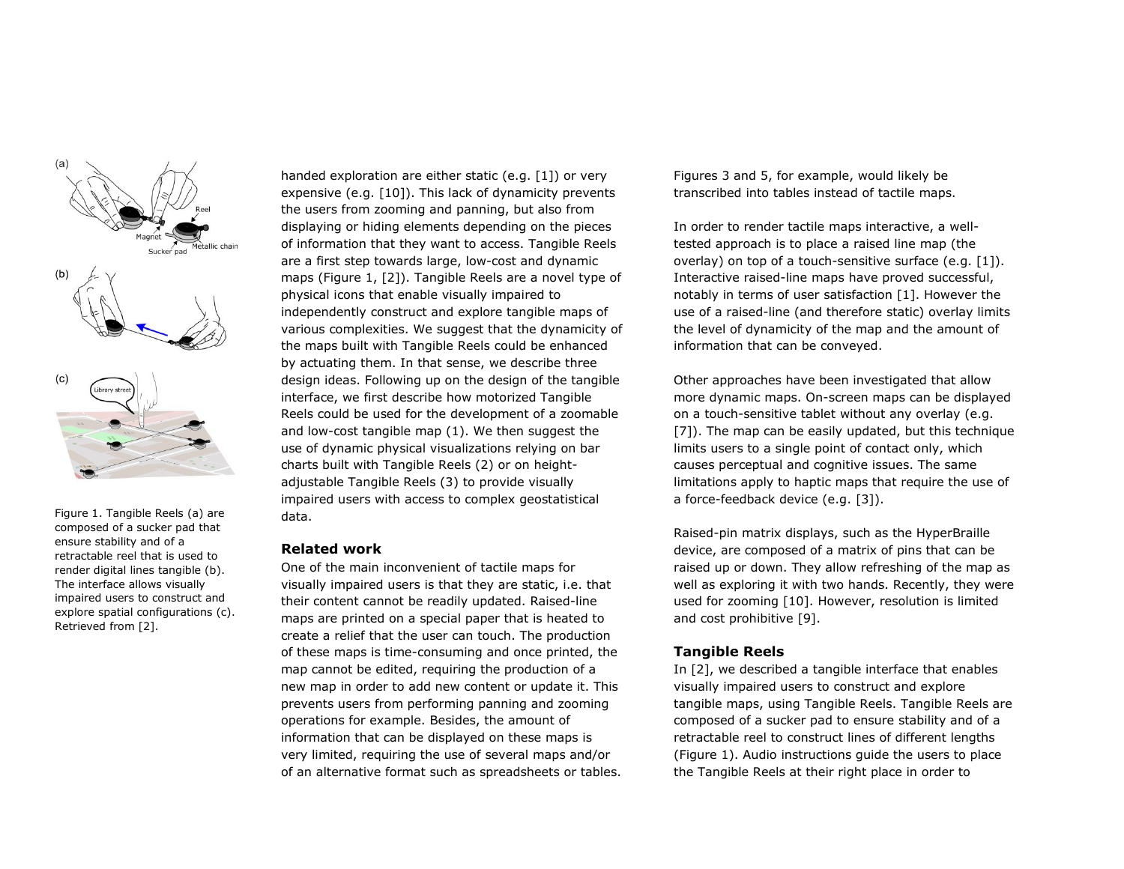

Figure 1. Tangible Reels (a) are composed of a sucker pad that ensure stability and of a retractable reel that is used to render digital lines tangible (b). The interface allows visually impaired users to construct and explore spatial configurations (c). Retrieved from [2].

handed exploration are either static (e.g. [1]) or very expensive (e.g. [10]). This lack of dynamicity prevents the users from zooming and panning, but also from displaying or hiding elements depending on the pieces of information that they want to access. Tangible Reels are a first step towards large, low-cost and dynamic maps (Figure 1, [2]). Tangible Reels are a novel type of physical icons that enable visually impaired to independently construct and explore tangible maps of various complexities. We suggest that the dynamicity of the maps built with Tangible Reels could be enhanced by actuating them. In that sense, we describe three design ideas. Following up on the design of the tangible interface, we first describe how motorized Tangible Reels could be used for the development of a zoomable and low-cost tangible map (1). We then suggest the use of dynamic physical visualizations relying on bar charts built with Tangible Reels (2) or on heightadjustable Tangible Reels (3) to provide visually impaired users with access to complex geostatistical data.

### **Related work**

One of the main inconvenient of tactile maps for visually impaired users is that they are static, i.e. that their content cannot be readily updated. Raised-line maps are printed on a special paper that is heated to create a relief that the user can touch. The production of these maps is time-consuming and once printed, the map cannot be edited, requiring the production of a new map in order to add new content or update it. This prevents users from performing panning and zooming operations for example. Besides, the amount of information that can be displayed on these maps is very limited, requiring the use of several maps and/or of an alternative format such as spreadsheets or tables. Figures 3 and 5, for example, would likely be transcribed into tables instead of tactile maps.

In order to render tactile maps interactive, a welltested approach is to place a raised line map (the overlay) on top of a touch-sensitive surface (e.g. [1]). Interactive raised-line maps have proved successful, notably in terms of user satisfaction [1]. However the use of a raised-line (and therefore static) overlay limits the level of dynamicity of the map and the amount of information that can be conveyed.

Other approaches have been investigated that allow more dynamic maps. On-screen maps can be displayed on a touch-sensitive tablet without any overlay (e.g. [7]). The map can be easily updated, but this technique limits users to a single point of contact only, which causes perceptual and cognitive issues. The same limitations apply to haptic maps that require the use of a force-feedback device (e.g. [3]).

Raised-pin matrix displays, such as the HyperBraille device, are composed of a matrix of pins that can be raised up or down. They allow refreshing of the map as well as exploring it with two hands. Recently, they were used for zooming [10]. However, resolution is limited and cost prohibitive [9].

#### **Tangible Reels**

In [2], we described a tangible interface that enables visually impaired users to construct and explore tangible maps, using Tangible Reels. Tangible Reels are composed of a sucker pad to ensure stability and of a retractable reel to construct lines of different lengths (Figure 1). Audio instructions guide the users to place the Tangible Reels at their right place in order to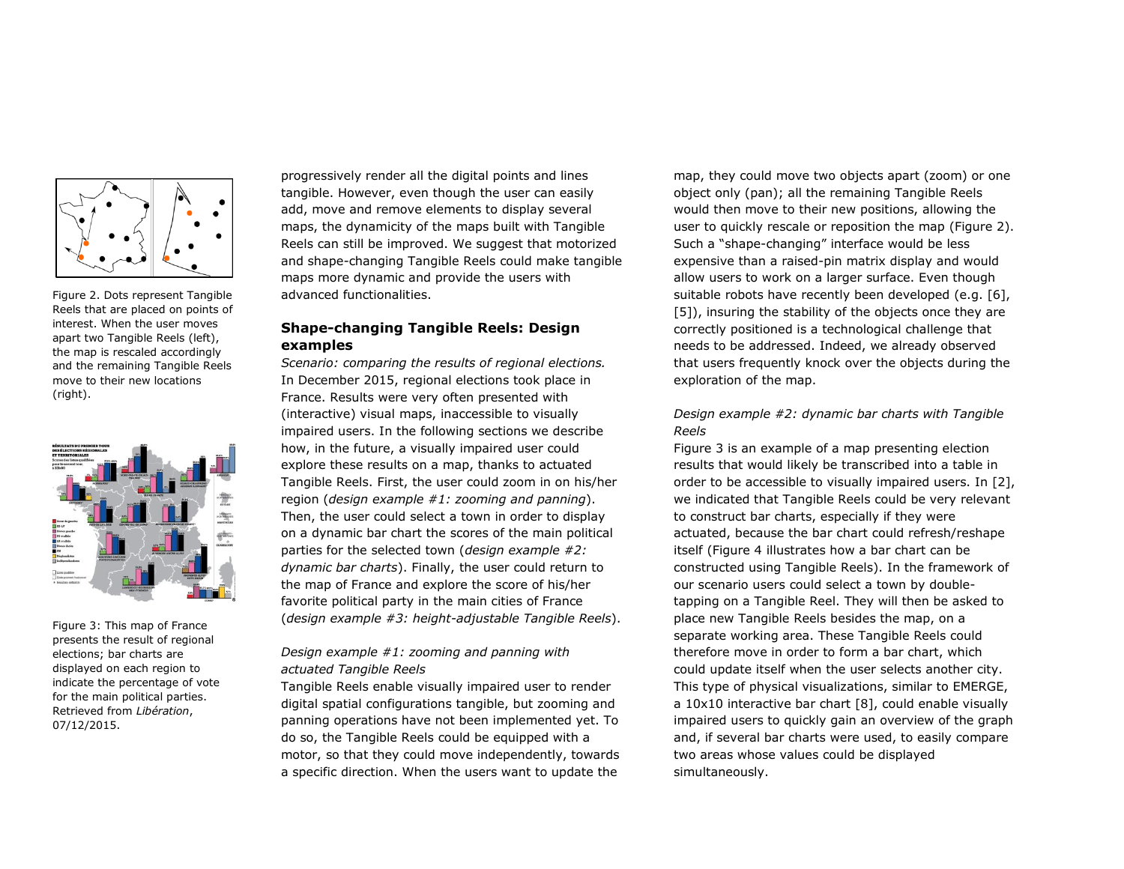

Figure 2. Dots represent Tangible Reels that are placed on points of interest. When the user moves apart two Tangible Reels (left), the map is rescaled accordingly and the remaining Tangible Reels move to their new locations (right).



Figure 3: This map of France presents the result of regional elections; bar charts are displayed on each region to indicate the percentage of vote for the main political parties. Retrieved from *Libération*, 07/12/2015.

progressively render all the digital points and lines tangible. However, even though the user can easily add, move and remove elements to display several maps, the dynamicity of the maps built with Tangible Reels can still be improved. We suggest that motorized and shape-changing Tangible Reels could make tangible maps more dynamic and provide the users with advanced functionalities.

# **Shape-changing Tangible Reels: Design examples**

*Scenario: comparing the results of regional elections.* In December 2015, regional elections took place in France. Results were very often presented with (interactive) visual maps, inaccessible to visually impaired users. In the following sections we describe how, in the future, a visually impaired user could explore these results on a map, thanks to actuated Tangible Reels. First, the user could zoom in on his/her region (*design example #1: zooming and panning*). Then, the user could select a town in order to display on a dynamic bar chart the scores of the main political parties for the selected town (*design example #2: dynamic bar charts*). Finally, the user could return to the map of France and explore the score of his/her favorite political party in the main cities of France (*design example #3: height-adjustable Tangible Reels*).

# *Design example #1: zooming and panning with actuated Tangible Reels*

Tangible Reels enable visually impaired user to render digital spatial configurations tangible, but zooming and panning operations have not been implemented yet. To do so, the Tangible Reels could be equipped with a motor, so that they could move independently, towards a specific direction. When the users want to update the

map, they could move two objects apart (zoom) or one object only (pan); all the remaining Tangible Reels would then move to their new positions, allowing the user to quickly rescale or reposition the map (Figure 2). Such a "shape-changing" interface would be less expensive than a raised-pin matrix display and would allow users to work on a larger surface. Even though suitable robots have recently been developed (e.g. [6], [5]), insuring the stability of the objects once they are correctly positioned is a technological challenge that needs to be addressed. Indeed, we already observed that users frequently knock over the objects during the exploration of the map.

# *Design example #2: dynamic bar charts with Tangible Reels*

Figure 3 is an example of a map presenting election results that would likely be transcribed into a table in order to be accessible to visually impaired users. In [2], we indicated that Tangible Reels could be very relevant to construct bar charts, especially if they were actuated, because the bar chart could refresh/reshape itself (Figure 4 illustrates how a bar chart can be constructed using Tangible Reels). In the framework of our scenario users could select a town by doubletapping on a Tangible Reel. They will then be asked to place new Tangible Reels besides the map, on a separate working area. These Tangible Reels could therefore move in order to form a bar chart, which could update itself when the user selects another city. This type of physical visualizations, similar to EMERGE, a 10x10 interactive bar chart [8], could enable visually impaired users to quickly gain an overview of the graph and, if several bar charts were used, to easily compare two areas whose values could be displayed simultaneously.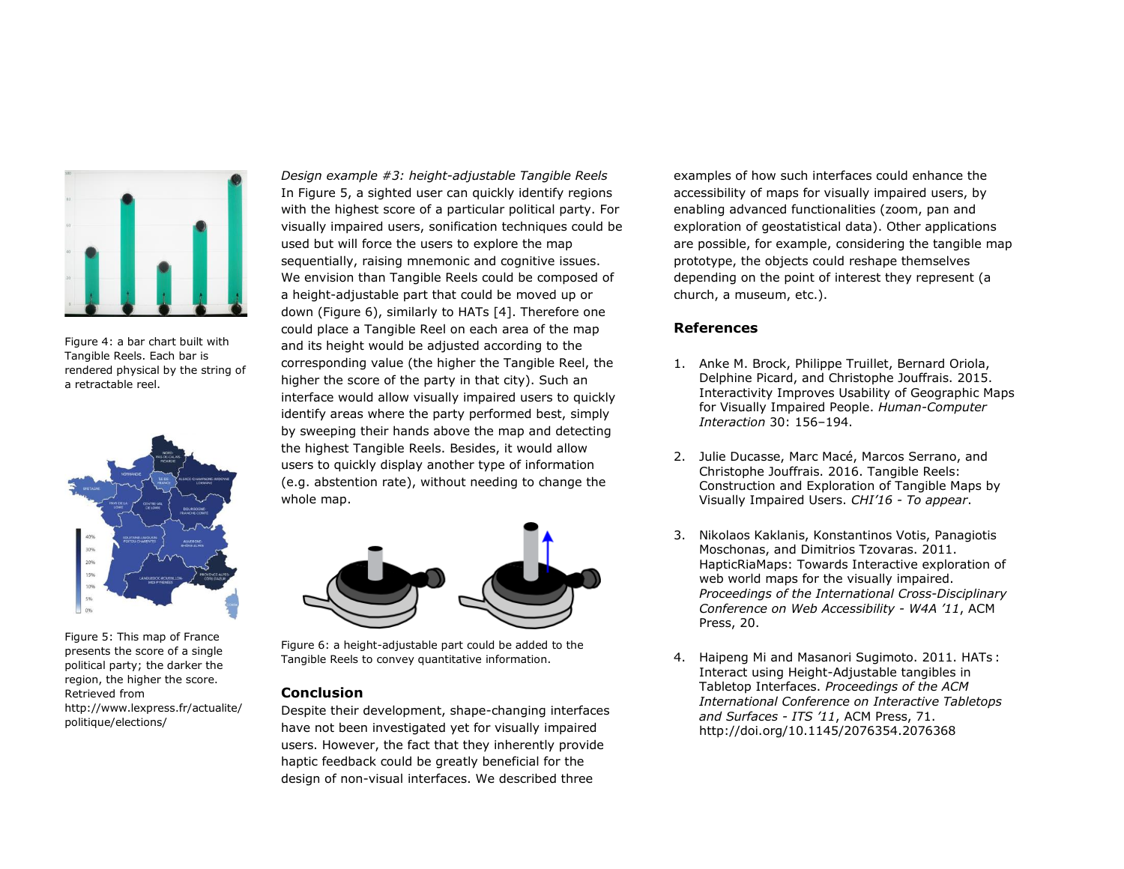

Figure 4: a bar chart built with Tangible Reels. Each bar is rendered physical by the string of a retractable reel.



Figure 5: This map of France presents the score of a single political party; the darker the region, the higher the score. Retrieved from http://www.lexpress.fr/actualite/ politique/elections/

*Design example #3: height-adjustable Tangible Reels* In Figure 5, a sighted user can quickly identify regions with the highest score of a particular political party. For visually impaired users, sonification techniques could be used but will force the users to explore the map sequentially, raising mnemonic and cognitive issues. We envision than Tangible Reels could be composed of a height-adjustable part that could be moved up or down (Figure 6), similarly to HATs [4]. Therefore one could place a Tangible Reel on each area of the map and its height would be adjusted according to the corresponding value (the higher the Tangible Reel, the higher the score of the party in that city). Such an interface would allow visually impaired users to quickly identify areas where the party performed best, simply by sweeping their hands above the map and detecting the highest Tangible Reels. Besides, it would allow users to quickly display another type of information (e.g. abstention rate), without needing to change the whole map.



Figure 6: a height-adjustable part could be added to the Tangible Reels to convey quantitative information.

### **Conclusion**

Despite their development, shape-changing interfaces have not been investigated yet for visually impaired users. However, the fact that they inherently provide haptic feedback could be greatly beneficial for the design of non-visual interfaces. We described three

examples of how such interfaces could enhance the accessibility of maps for visually impaired users, by enabling advanced functionalities (zoom, pan and exploration of geostatistical data). Other applications are possible, for example, considering the tangible map prototype, the objects could reshape themselves depending on the point of interest they represent (a church, a museum, etc.).

## **References**

- 1. Anke M. Brock, Philippe Truillet, Bernard Oriola, Delphine Picard, and Christophe Jouffrais. 2015. Interactivity Improves Usability of Geographic Maps for Visually Impaired People. *Human-Computer Interaction* 30: 156–194.
- 2. Julie Ducasse, Marc Macé, Marcos Serrano, and Christophe Jouffrais. 2016. Tangible Reels: Construction and Exploration of Tangible Maps by Visually Impaired Users. *CHI'16 - To appear*.
- 3. Nikolaos Kaklanis, Konstantinos Votis, Panagiotis Moschonas, and Dimitrios Tzovaras. 2011. HapticRiaMaps: Towards Interactive exploration of web world maps for the visually impaired. *Proceedings of the International Cross-Disciplinary Conference on Web Accessibility - W4A '11*, ACM Press, 20.
- 4. Haipeng Mi and Masanori Sugimoto. 2011. HATs : Interact using Height-Adjustable tangibles in Tabletop Interfaces. *Proceedings of the ACM International Conference on Interactive Tabletops and Surfaces - ITS '11*, ACM Press, 71. http://doi.org/10.1145/2076354.2076368